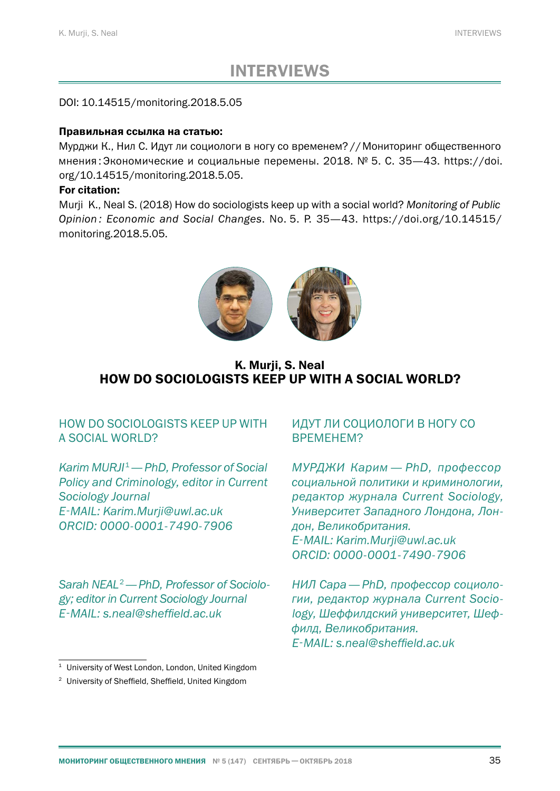# INTERVIEWS

### DOI: 10.14515/monitoring.2018.5.05

#### Правильная ссылка на статью:

Мурджи К., Нил С. Идут ли социологи в ногу со временем?//Мониторинг общественного мнения : Экономические и социальные перемены. 2018. № 5. С. 35—[43.](#page-8-0) https://doi. org/10.14515/monitoring.2018.5.05.

#### For citation:

Murji K., Neal S. (2018) How do sociologists keep up with a social world? *Monitoring of Public Opinion : Economic and Social Changes*. No. 5. P. 35—[43](#page-8-0). https://doi.org/10.14515/ monitoring.2018.5.05.



K. Murii, S. Neal HOW DO SOCIOLOGISTS KEEP UP WITH A SOCIAL WORLD?

# HOW DO SOCIOLOGISTS KEEP UP WITH A SOCIAL WORLD?

*Karim MURJI*<sup>1</sup>*— PhD, Professor of Social Policy and Criminology, editor in Current Sociology Journal E‑MAIL: Karim.Murji@uwl.ac.uk ORCID: 0000-0001-7490-7906*

*Sarah NEAL*2*— PhD, Professor of Sociology; editor in Current Sociology Journal E‑MAIL: s.neal@sheffield.ac.uk*

# ИДУТ ЛИ СОЦИОЛОГИ В НОГУ СО ВРЕМЕНЕМ?

*МУРДЖИ Карим — PhD, профессор социальной политики и криминологии, редактор журнала Current Sociology, Университет Западного Лондона, Лондон, Великобритания. E‑MAIL: Karim.Murji@uwl.ac.uk ORCID: 0000-0001-7490-7906*

*НИЛ Сара— PhD, профессор социологии, редактор журнала Current Sociology, Шеффилдский университет, Шеффилд, Великобритания. E‑MAIL: s.neal@sheffield.ac.uk*

<sup>&</sup>lt;sup>1</sup> University of West London, London, United Kingdom

<sup>2</sup> University of Sheffield, Sheffield, United Kingdom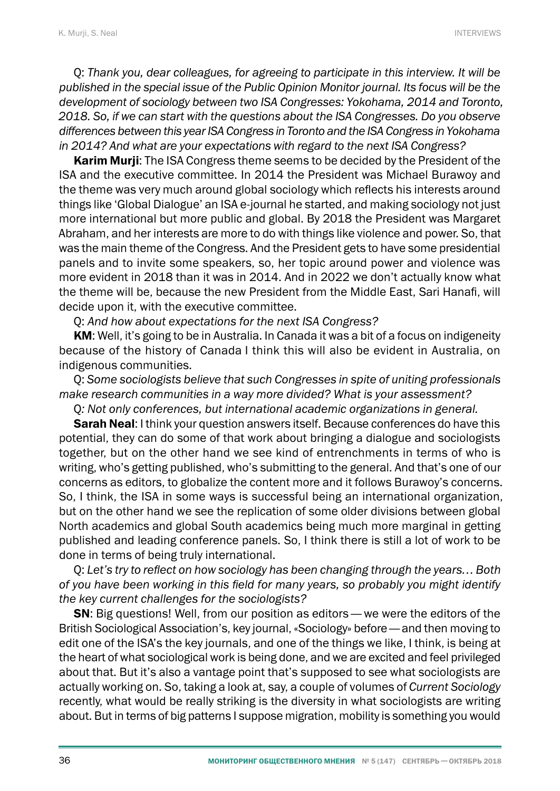Q: *Thank you, dear colleagues, for agreeing to participate in this interview. It will be published in the special issue of the Public Opinion Monitor journal. Its focus will be the development of sociology between two ISA Congresses: Yokohama, 2014 and Toronto, 2018. So, if we can start with the questions about the ISA Congresses. Do you observe differences between this year ISA Congress in Toronto and the ISA Congress in Yokohama in 2014? And what are your expectations with regard to the next ISA Congress?*

Karim Murji: The ISA Congress theme seems to be decided by the President of the ISA and the executive committee. In 2014 the President was Michael Burawoy and the theme was very much around global sociology which reflects his interests around things like 'Global Dialogue' an ISA e-journal he started, and making sociology not just more international but more public and global. By 2018 the President was Margaret Abraham, and her interests are more to do with things like violence and power. So, that was the main theme of the Congress. And the President gets to have some presidential panels and to invite some speakers, so, her topic around power and violence was more evident in 2018 than it was in 2014. And in 2022 we don't actually know what the theme will be, because the new President from the Middle East, Sari Hanafi, will decide upon it, with the executive committee.

Q: *And how about expectations for the next ISA Congress?*

KM: Well, it's going to be in Australia. In Canada it was a bit of a focus on indigeneity because of the history of Canada I think this will also be evident in Australia, on indigenous communities.

Q: *Some sociologists believe that such Congresses in spite of uniting professionals make research communities in a way more divided? What is your assessment?*

Q*: Not only conferences, but international academic organizations in general.*

**Sarah Neal:** I think your question answers itself. Because conferences do have this potential, they can do some of that work about bringing a dialogue and sociologists together, but on the other hand we see kind of entrenchments in terms of who is writing, who's getting published, who's submitting to the general. And that's one of our concerns as editors, to globalize the content more and it follows Burawoy's concerns. So, I think, the ISA in some ways is successful being an international organization, but on the other hand we see the replication of some older divisions between global North academics and global South academics being much more marginal in getting published and leading conference panels. So, I think there is still a lot of work to be done in terms of being truly international.

Q: *Let's try to reflect on how sociology has been changing through the years… Both of you have been working in this field for many years, so probably you might identify the key current challenges for the sociologists?*

SN: Big questions! Well, from our position as editors— we were the editors of the British Sociological Association's, key journal, «Sociology» before— and then moving to edit one of the ISA's the key journals, and one of the things we like, I think, is being at the heart of what sociological work is being done, and we are excited and feel privileged about that. But it's also a vantage point that's supposed to see what sociologists are actually working on. So, taking a look at, say, a couple of volumes of *Current Sociology* recently, what would be really striking is the diversity in what sociologists are writing about. But in terms of big patterns I suppose migration, mobility is something you would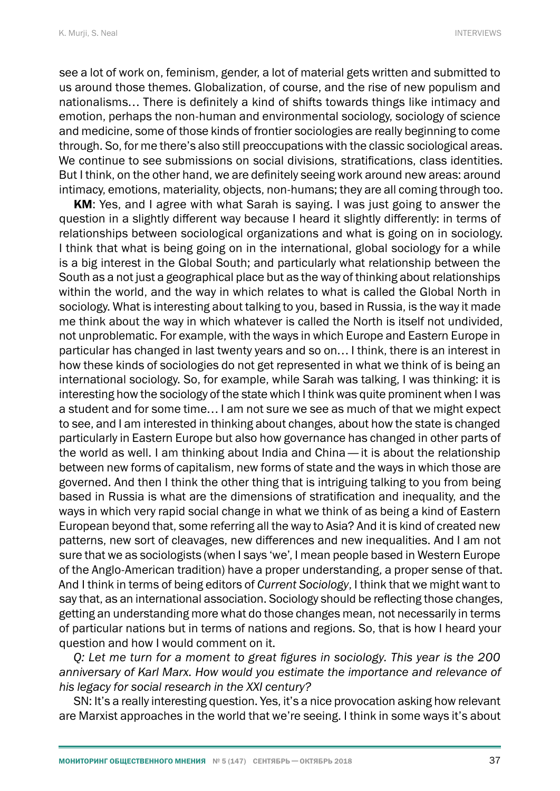see a lot of work on, feminism, gender, a lot of material gets written and submitted to us around those themes. Globalization, of course, and the rise of new populism and nationalisms… There is definitely a kind of shifts towards things like intimacy and emotion, perhaps the non-human and environmental sociology, sociology of science and medicine, some of those kinds of frontier sociologies are really beginning to come through. So, for me there's also still preoccupations with the classic sociological areas. We continue to see submissions on social divisions, stratifications, class identities. But I think, on the other hand, we are definitely seeing work around new areas: around intimacy, emotions, materiality, objects, non-humans; they are all coming through too.

KM: Yes, and I agree with what Sarah is saying. I was just going to answer the question in a slightly different way because I heard it slightly differently: in terms of relationships between sociological organizations and what is going on in sociology. I think that what is being going on in the international, global sociology for a while is a big interest in the Global South; and particularly what relationship between the South as a not just a geographical place but as the way of thinking about relationships within the world, and the way in which relates to what is called the Global North in sociology. What is interesting about talking to you, based in Russia, is the way it made me think about the way in which whatever is called the North is itself not undivided, not unproblematic. For example, with the ways in which Europe and Eastern Europe in particular has changed in last twenty years and so on… I think, there is an interest in how these kinds of sociologies do not get represented in what we think of is being an international sociology. So, for example, while Sarah was talking, I was thinking: it is interesting how the sociology of the state which I think was quite prominent when I was a student and for some time… I am not sure we see as much of that we might expect to see, and I am interested in thinking about changes, about how the state is changed particularly in Eastern Europe but also how governance has changed in other parts of the world as well. I am thinking about India and China— it is about the relationship between new forms of capitalism, new forms of state and the ways in which those are governed. And then I think the other thing that is intriguing talking to you from being based in Russia is what are the dimensions of stratification and inequality, and the ways in which very rapid social change in what we think of as being a kind of Eastern European beyond that, some referring all the way to Asia? And it is kind of created new patterns, new sort of cleavages, new differences and new inequalities. And I am not sure that we as sociologists (when I says 'we', I mean people based in Western Europe of the Anglo-American tradition) have a proper understanding, a proper sense of that. And I think in terms of being editors of *Current Sociology*, I think that we might want to say that, as an international association. Sociology should be reflecting those changes, getting an understanding more what do those changes mean, not necessarily in terms of particular nations but in terms of nations and regions. So, that is how I heard your question and how I would comment on it.

*Q: Let me turn for a moment to great figures in sociology. This year is the 200 anniversary of Karl Marx. How would you estimate the importance and relevance of his legacy for social research in the XXI century?*

SN: It's a really interesting question. Yes, it's a nice provocation asking how relevant are Marxist approaches in the world that we're seeing. I think in some ways it's about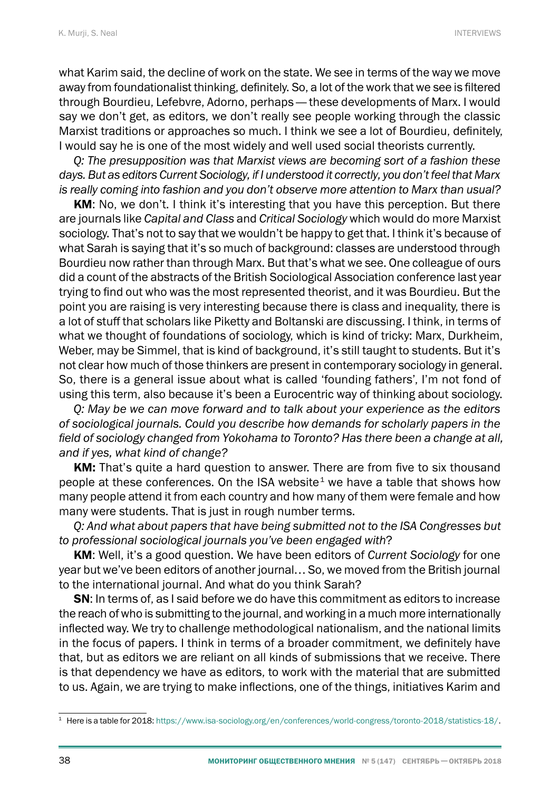what Karim said, the decline of work on the state. We see in terms of the way we move away from foundationalist thinking, definitely. So, a lot of the work that we see is filtered through Bourdieu, Lefebvre, Adorno, perhaps— these developments of Marx. I would say we don't get, as editors, we don't really see people working through the classic Marxist traditions or approaches so much. I think we see a lot of Bourdieu, definitely, I would say he is one of the most widely and well used social theorists currently.

*Q: The presupposition was that Marxist views are becoming sort of a fashion these days. But as editors Current Sociology, if I understood it correctly, you don't feel that Marx is really coming into fashion and you don't observe more attention to Marx than usual?*

KM: No, we don't. I think it's interesting that you have this perception. But there are journals like *Capital and Class* and *Critical Sociology* which would do more Marxist sociology. That's not to say that we wouldn't be happy to get that. I think it's because of what Sarah is saying that it's so much of background: classes are understood through Bourdieu now rather than through Marx. But that's what we see. One colleague of ours did a count of the abstracts of the British Sociological Association conference last year trying to find out who was the most represented theorist, and it was Bourdieu. But the point you are raising is very interesting because there is class and inequality, there is a lot of stuff that scholars like Piketty and Boltanski are discussing. I think, in terms of what we thought of foundations of sociology, which is kind of tricky: Marx, Durkheim, Weber, may be Simmel, that is kind of background, it's still taught to students. But it's not clear how much of those thinkers are present in contemporary sociology in general. So, there is a general issue about what is called 'founding fathers', I'm not fond of using this term, also because it's been a Eurocentric way of thinking about sociology.

*Q: May be we can move forward and to talk about your experience as the editors of sociological journals. Could you describe how demands for scholarly papers in the field of sociology changed from Yokohama to Toronto? Has there been a change at all, and if yes, what kind of change?*

KM: That's quite a hard question to answer. There are from five to six thousand people at these conferences. On the ISA website<sup>1</sup> we have a table that shows how many people attend it from each country and how many of them were female and how many were students. That is just in rough number terms.

*Q: And what about papers that have being submitted not to the ISA Congresses but to professional sociological journals you've been engaged with*?

KM: Well, it's a good question. We have been editors of *Current Sociology* for one year but we've been editors of another journal… So, we moved from the British journal to the international journal. And what do you think Sarah?

SN: In terms of, as I said before we do have this commitment as editors to increase the reach of who is submitting to the journal, and working in a much more internationally inflected way. We try to challenge methodological nationalism, and the national limits in the focus of papers. I think in terms of a broader commitment, we definitely have that, but as editors we are reliant on all kinds of submissions that we receive. There is that dependency we have as editors, to work with the material that are submitted to us. Again, we are trying to make inflections, one of the things, initiatives Karim and

<sup>1</sup> Here is a table for 2018:<https://www.isa-sociology.org/en/conferences/world-congress/toronto-2018/statistics-18/>.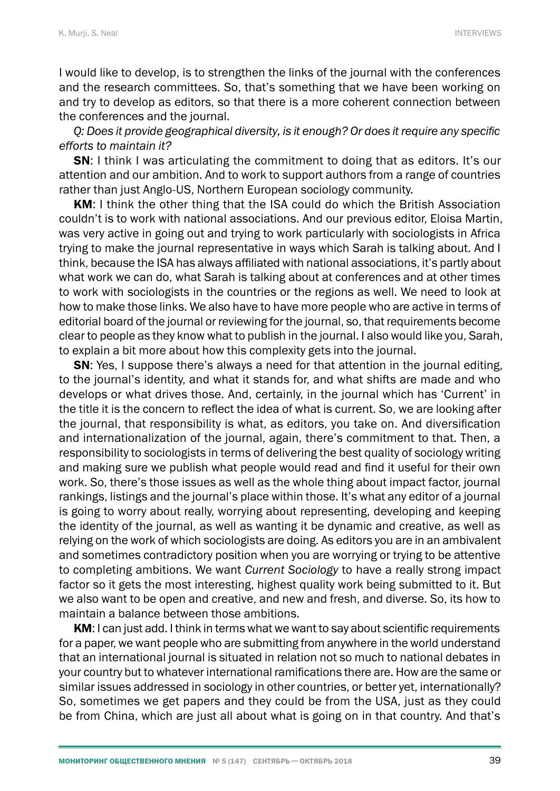I would like to develop, is to strengthen the links of the journal with the conferences and the research committees. So, that's something that we have been working on and try to develop as editors, so that there is a more coherent connection between the conferences and the journal.

*Q: Does it provide geographical diversity, is it enough? Or does it require any specific efforts to maintain it?*

**SN:** I think I was articulating the commitment to doing that as editors. It's our attention and our ambition. And to work to support authors from a range of countries rather than just Anglo-US, Northern European sociology community.

KM: I think the other thing that the ISA could do which the British Association couldn't is to work with national associations. And our previous editor, Eloisa Martin, was very active in going out and trying to work particularly with sociologists in Africa trying to make the journal representative in ways which Sarah is talking about. And I think, because the ISA has always affiliated with national associations, it's partly about what work we can do, what Sarah is talking about at conferences and at other times to work with sociologists in the countries or the regions as well. We need to look at how to make those links. We also have to have more people who are active in terms of editorial board of the journal or reviewing for the journal, so, that requirements become clear to people as they know what to publish in the journal. I also would like you, Sarah, to explain a bit more about how this complexity gets into the journal.

SN: Yes, I suppose there's always a need for that attention in the journal editing, to the journal's identity, and what it stands for, and what shifts are made and who develops or what drives those. And, certainly, in the journal which has 'Current' in the title it is the concern to reflect the idea of what is current. So, we are looking after the journal, that responsibility is what, as editors, you take on. And diversification and internationalization of the journal, again, there's commitment to that. Then, a responsibility to sociologists in terms of delivering the best quality of sociology writing and making sure we publish what people would read and find it useful for their own work. So, there's those issues as well as the whole thing about impact factor, journal rankings, listings and the journal's place within those. It's what any editor of a journal is going to worry about really, worrying about representing, developing and keeping the identity of the journal, as well as wanting it be dynamic and creative, as well as relying on the work of which sociologists are doing. As editors you are in an ambivalent and sometimes contradictory position when you are worrying or trying to be attentive to completing ambitions. We want *Current Sociology* to have a really strong impact factor so it gets the most interesting, highest quality work being submitted to it. But we also want to be open and creative, and new and fresh, and diverse. So, its how to maintain a balance between those ambitions.

KM: I can just add. I think in terms what we want to say about scientific requirements for a paper, we want people who are submitting from anywhere in the world understand that an international journal is situated in relation not so much to national debates in your country but to whatever international ramifications there are. How are the same or similar issues addressed in sociology in other countries, or better yet, internationally? So, sometimes we get papers and they could be from the USA, just as they could be from China, which are just all about what is going on in that country. And that's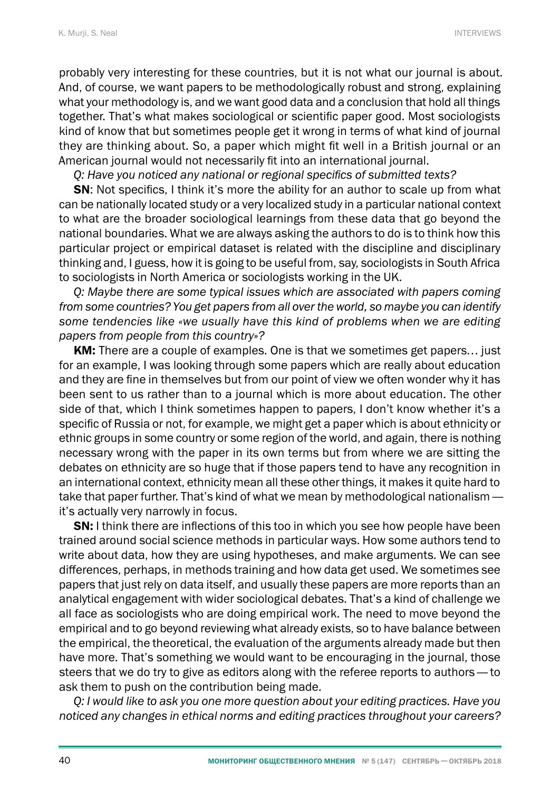probably very interesting for these countries, but it is not what our journal is about. And, of course, we want papers to be methodologically robust and strong, explaining what your methodology is, and we want good data and a conclusion that hold all things together. That's what makes sociological or scientific paper good. Most sociologists kind of know that but sometimes people get it wrong in terms of what kind of journal they are thinking about. So, a paper which might fit well in a British journal or an American journal would not necessarily fit into an international journal.

*Q: Have you noticed any national or regional specifics of submitted texts?*

SN: Not specifics, I think it's more the ability for an author to scale up from what can be nationally located study or a very localized study in a particular national context to what are the broader sociological learnings from these data that go beyond the national boundaries. What we are always asking the authors to do is to think how this particular project or empirical dataset is related with the discipline and disciplinary thinking and, I guess, how it is going to be useful from, say, sociologists in South Africa to sociologists in North America or sociologists working in the UK.

*Q: Maybe there are some typical issues which are associated with papers coming from some countries? You get papers from all over the world, so maybe you can identify some tendencies like «we usually have this kind of problems when we are editing papers from people from this country»?*

KM: There are a couple of examples. One is that we sometimes get papers... just for an example, I was looking through some papers which are really about education and they are fine in themselves but from our point of view we often wonder why it has been sent to us rather than to a journal which is more about education. The other side of that, which I think sometimes happen to papers, I don't know whether it's a specific of Russia or not, for example, we might get a paper which is about ethnicity or ethnic groups in some country or some region of the world, and again, there is nothing necessary wrong with the paper in its own terms but from where we are sitting the debates on ethnicity are so huge that if those papers tend to have any recognition in an international context, ethnicity mean all these other things, it makes it quite hard to take that paper further. That's kind of what we mean by methodological nationalism it's actually very narrowly in focus.

**SN:** I think there are inflections of this too in which you see how people have been trained around social science methods in particular ways. How some authors tend to write about data, how they are using hypotheses, and make arguments. We can see differences, perhaps, in methods training and how data get used. We sometimes see papers that just rely on data itself, and usually these papers are more reports than an analytical engagement with wider sociological debates. That's a kind of challenge we all face as sociologists who are doing empirical work. The need to move beyond the empirical and to go beyond reviewing what already exists, so to have balance between the empirical, the theoretical, the evaluation of the arguments already made but then have more. That's something we would want to be encouraging in the journal, those steers that we do try to give as editors along with the referee reports to authors— to ask them to push on the contribution being made.

*Q: I would like to ask you one more question about your editing practices. Have you noticed any changes in ethical norms and editing practices throughout your careers?*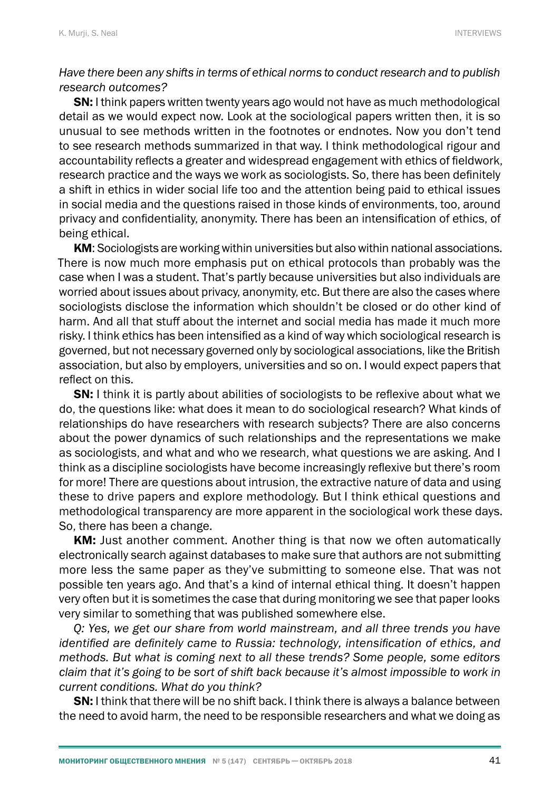## *Have there been any shifts in terms of ethical norms to conduct research and to publish research outcomes?*

**SN:** I think papers written twenty years ago would not have as much methodological detail as we would expect now. Look at the sociological papers written then, it is so unusual to see methods written in the footnotes or endnotes. Now you don't tend to see research methods summarized in that way. I think methodological rigour and accountability reflects a greater and widespread engagement with ethics of fieldwork, research practice and the ways we work as sociologists. So, there has been definitely a shift in ethics in wider social life too and the attention being paid to ethical issues in social media and the questions raised in those kinds of environments, too, around privacy and confidentiality, anonymity. There has been an intensification of ethics, of being ethical.

KM: Sociologists are working within universities but also within national associations. There is now much more emphasis put on ethical protocols than probably was the case when I was a student. That's partly because universities but also individuals are worried about issues about privacy, anonymity, etc. But there are also the cases where sociologists disclose the information which shouldn't be closed or do other kind of harm. And all that stuff about the internet and social media has made it much more risky. I think ethics has been intensified as a kind of way which sociological research is governed, but not necessary governed only by sociological associations, like the British association, but also by employers, universities and so on. I would expect papers that reflect on this.

**SN:** I think it is partly about abilities of sociologists to be reflexive about what we do, the questions like: what does it mean to do sociological research? What kinds of relationships do have researchers with research subjects? There are also concerns about the power dynamics of such relationships and the representations we make as sociologists, and what and who we research, what questions we are asking. And I think as a discipline sociologists have become increasingly reflexive but there's room for more! There are questions about intrusion, the extractive nature of data and using these to drive papers and explore methodology. But I think ethical questions and methodological transparency are more apparent in the sociological work these days. So, there has been a change.

KM: Just another comment. Another thing is that now we often automatically electronically search against databases to make sure that authors are not submitting more less the same paper as they've submitting to someone else. That was not possible ten years ago. And that's a kind of internal ethical thing. It doesn't happen very often but it is sometimes the case that during monitoring we see that paper looks very similar to something that was published somewhere else.

*Q: Yes, we get our share from world mainstream, and all three trends you have identified are definitely came to Russia: technology, intensification of ethics, and methods. But what is coming next to all these trends? Some people, some editors claim that it's going to be sort of shift back because it's almost impossible to work in current conditions. What do you think?*

**SN:** I think that there will be no shift back. I think there is always a balance between the need to avoid harm, the need to be responsible researchers and what we doing as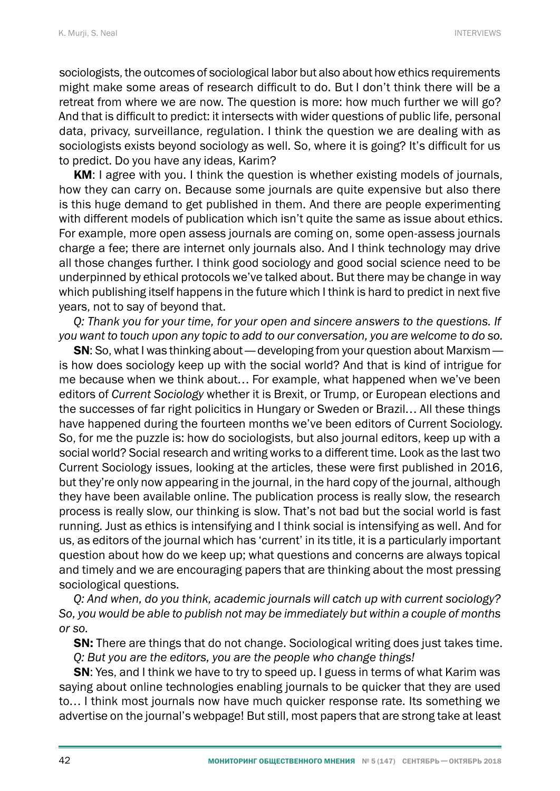sociologists, the outcomes of sociological labor but also about how ethics requirements might make some areas of research difficult to do. But I don't think there will be a retreat from where we are now. The question is more: how much further we will go? And that is difficult to predict: it intersects with wider questions of public life, personal data, privacy, surveillance, regulation. I think the question we are dealing with as sociologists exists beyond sociology as well. So, where it is going? It's difficult for us to predict. Do you have any ideas, Karim?

KM: I agree with you. I think the question is whether existing models of journals, how they can carry on. Because some journals are quite expensive but also there is this huge demand to get published in them. And there are people experimenting with different models of publication which isn't quite the same as issue about ethics. For example, more open assess journals are coming on, some open-assess journals charge a fee; there are internet only journals also. And I think technology may drive all those changes further. I think good sociology and good social science need to be underpinned by ethical protocols we've talked about. But there may be change in way which publishing itself happens in the future which I think is hard to predict in next five years, not to say of beyond that.

*Q: Thank you for your time, for your open and sincere answers to the questions. If you want to touch upon any topic to add to our conversation, you are welcome to do so.*

SN: So, what I was thinking about— developing from your question about Marxism is how does sociology keep up with the social world? And that is kind of intrigue for me because when we think about… For example, what happened when we've been editors of *Current Sociology* whether it is Brexit, or Trump, or European elections and the successes of far right policitics in Hungary or Sweden or Brazil… All these things have happened during the fourteen months we've been editors of Current Sociology. So, for me the puzzle is: how do sociologists, but also journal editors, keep up with a social world? Social research and writing works to a different time. Look as the last two Current Sociology issues, looking at the articles, these were first published in 2016, but they're only now appearing in the journal, in the hard copy of the journal, although they have been available online. The publication process is really slow, the research process is really slow, our thinking is slow. That's not bad but the social world is fast running. Just as ethics is intensifying and I think social is intensifying as well. And for us, as editors of the journal which has 'current' in its title, it is a particularly important question about how do we keep up; what questions and concerns are always topical and timely and we are encouraging papers that are thinking about the most pressing sociological questions.

*Q: And when, do you think, academic journals will catch up with current sociology? So, you would be able to publish not may be immediately but within a couple of months or so.*

**SN:** There are things that do not change. Sociological writing does just takes time. *Q: But you are the editors, you are the people who change things!*

SN: Yes, and I think we have to try to speed up. I guess in terms of what Karim was saying about online technologies enabling journals to be quicker that they are used to… I think most journals now have much quicker response rate. Its something we advertise on the journal's webpage! But still, most papers that are strong take at least